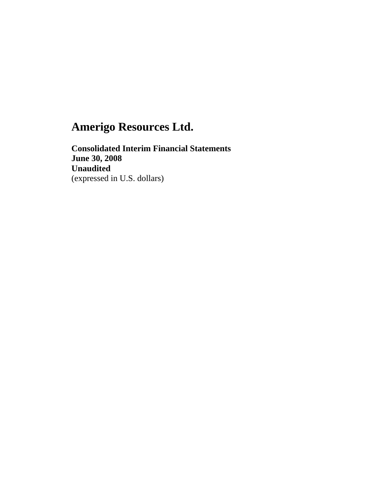**Consolidated Interim Financial Statements June 30, 2008 Unaudited**  (expressed in U.S. dollars)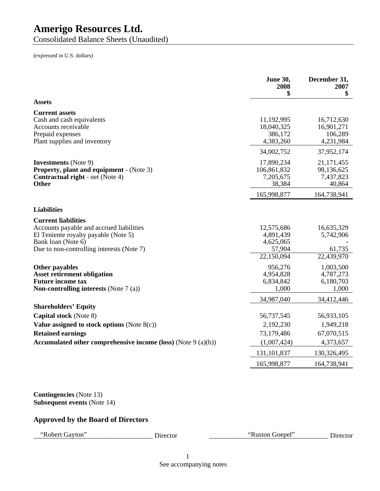Consolidated Balance Sheets (Unaudited)

(expressed in U.S. dollars)

|                                                                                                                                                                                   |                                                                 | <b>June 30,</b><br>2008<br>\$                                | December 31,<br>2007<br>\$                         |
|-----------------------------------------------------------------------------------------------------------------------------------------------------------------------------------|-----------------------------------------------------------------|--------------------------------------------------------------|----------------------------------------------------|
| <b>Assets</b>                                                                                                                                                                     |                                                                 |                                                              |                                                    |
| <b>Current assets</b><br>Cash and cash equivalents<br>Accounts receivable<br>Prepaid expenses<br>Plant supplies and inventory                                                     |                                                                 | 11,192,995<br>18,040,325<br>386,172<br>4,383,260             | 16,712,630<br>16,901,271<br>106,289<br>4,231,984   |
|                                                                                                                                                                                   |                                                                 | 34,002,752                                                   | 37,952,174                                         |
| <b>Investments</b> (Note 9)<br><b>Property, plant and equipment - (Note 3)</b><br><b>Contractual right</b> - net (Note 4)<br><b>Other</b>                                         |                                                                 | 17,890,234<br>106,861,832<br>7,205,675<br>38,384             | 21, 171, 455<br>98,136,625<br>7,437,823<br>40,864  |
|                                                                                                                                                                                   |                                                                 | 165,998,877                                                  | 164,738,941                                        |
| <b>Liabilities</b>                                                                                                                                                                |                                                                 |                                                              |                                                    |
| <b>Current liabilities</b><br>Accounts payable and accrued liabilities<br>El Teniente royalty payable (Note 5)<br>Bank loan (Note 6)<br>Due to non-controlling interests (Note 7) |                                                                 | 12,575,686<br>4,891,439<br>4,625,065<br>57,904<br>22,150,094 | 16,635,329<br>5,742,906<br>61,735<br>22,439,970    |
| <b>Other payables</b><br><b>Asset retirement obligation</b><br><b>Future income tax</b><br><b>Non-controlling interests</b> (Note $7(a)$ )                                        |                                                                 | 956,276<br>4,954,828<br>6,834,842<br>1,000                   | 1,003,500<br>4,787,273<br>6,180,703<br>1,000       |
|                                                                                                                                                                                   |                                                                 | 34,987,040                                                   | 34,412,446                                         |
| <b>Shareholders' Equity</b><br>Capital stock (Note 8)<br>Value assigned to stock options (Note $8(c)$ )<br><b>Retained earnings</b>                                               | Accumulated other comprehensive income (loss) (Note $9(a)(b)$ ) | 56,737,545<br>2,192,230<br>73,179,486<br>(1,007,424)         | 56,933,105<br>1,949,218<br>67,070,515<br>4,373,657 |
|                                                                                                                                                                                   |                                                                 | 131,101,837                                                  | 130,326,495                                        |
|                                                                                                                                                                                   |                                                                 | 165,998,877                                                  | 164,738,941                                        |
| <b>Contingencies</b> (Note 13)<br><b>Subsequent events (Note 14)</b><br><b>Approved by the Board of Directors</b>                                                                 |                                                                 |                                                              |                                                    |
| "Robert Gayton"                                                                                                                                                                   | Director                                                        | "Ruston Goepel"                                              | Director                                           |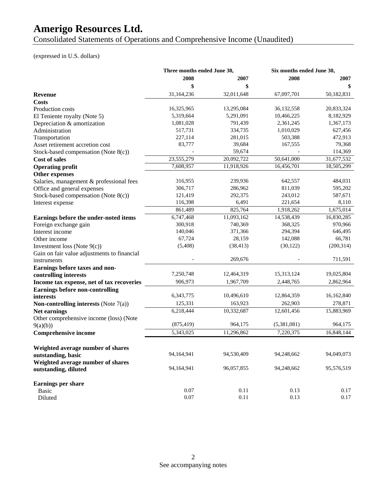Consolidated Statements of Operations and Comprehensive Income (Unaudited)

### (expressed in U.S. dollars)

|                                                 | Three months ended June 30, |            | Six months ended June 30, |            |
|-------------------------------------------------|-----------------------------|------------|---------------------------|------------|
|                                                 | 2008                        | 2007       | 2008                      | 2007       |
|                                                 | \$                          |            |                           |            |
| <b>Revenue</b>                                  | 31,164,236                  | 32,011,648 | 67,097,701                | 50,182,831 |
| Costs                                           |                             |            |                           |            |
| Production costs                                | 16,325,965                  | 13,295,084 | 36,132,558                | 20,833,324 |
| El Teniente royalty (Note 5)                    | 5,319,664                   | 5,291,091  | 10,466,225                | 8,182,929  |
| Depreciation & amortization                     | 1,081,028                   | 791,439    | 2,361,245                 | 1,367,173  |
| Administration                                  | 517,731                     | 334,735    | 1,010,029                 | 627,456    |
| Transportation                                  | 227,114                     | 281,015    | 503,388                   | 472,913    |
| Asset retirement accretion cost                 | 83,777                      | 39,684     | 167,555                   | 79,368     |
| Stock-based compensation (Note $8(c)$ )         |                             | 59,674     |                           | 114,369    |
| <b>Cost of sales</b>                            | 23,555,279                  | 20,092,722 | 50,641,000                | 31,677,532 |
| <b>Operating profit</b>                         | 7,608,957                   | 11,918,926 | 16,456,701                | 18,505,299 |
| Other expenses                                  |                             |            |                           |            |
| Salaries, management & professional fees        | 316,955                     | 239,936    | 642,557                   | 484,031    |
| Office and general expenses                     | 306,717                     | 286,962    | 811,039                   | 595,202    |
| Stock-based compensation (Note 8(c))            | 121,419                     | 292,375    | 243,012                   | 587,671    |
| Interest expense                                | 116,398                     | 6,491      | 221,654                   | 8,110      |
|                                                 | 861,489                     | 825,764    | 1,918,262                 | 1,675,014  |
| Earnings before the under-noted items           | 6,747,468                   | 11,093,162 | 14,538,439                | 16,830,285 |
| Foreign exchange gain                           | 300,918                     | 740,369    | 368,325                   | 970,966    |
| Interest income                                 | 140,046                     | 371,366    | 294,394                   | 646,495    |
| Other income                                    | 67,724                      | 28,159     | 142,088                   | 66,781     |
| Investment loss (Note $9(c)$ )                  | (5, 408)                    | (38, 413)  | (30, 122)                 | (200, 314) |
| Gain on fair value adjustments to financial     |                             |            |                           |            |
| instruments                                     |                             | 269,676    |                           | 711,591    |
| Earnings before taxes and non-                  |                             |            |                           |            |
| controlling interests                           | 7,250,748                   | 12,464,319 | 15,313,124                | 19,025,804 |
| Income tax expense, net of tax recoveries       | 906,973                     | 1,967,709  | 2,448,765                 | 2,862,964  |
| <b>Earnings before non-controlling</b>          |                             |            |                           |            |
| interests                                       | 6,343,775                   | 10,496,610 | 12,864,359                | 16,162,840 |
| <b>Non-controlling interests</b> (Note $7(a)$ ) | 125,331                     | 163,923    | 262,903                   | 278,871    |
| Net earnings                                    | 6,218,444                   | 10,332,687 | 12,601,456                | 15,883,969 |
| Other comprehensive income (loss) (Note         |                             |            |                           |            |
| 9(a)(b))                                        | (875, 419)                  | 964,175    | (5,381,081)               | 964,175    |
| <b>Comprehensive income</b>                     | 5,343,025                   | 11,296,862 | 7,220,375                 | 16,848,144 |
|                                                 |                             |            |                           |            |
| Weighted average number of shares               |                             |            |                           |            |
| outstanding, basic                              | 94,164,941                  | 94,530,409 | 94,248,662                | 94,049,073 |
| Weighted average number of shares               |                             |            |                           |            |
| outstanding, diluted                            | 94,164,941                  | 96,057,855 | 94,248,662                | 95,576,519 |
| Earnings per share                              |                             |            |                           |            |
| Basic                                           | 0.07                        | 0.11       | 0.13                      | 0.17       |
| Diluted                                         | 0.07                        | $0.11\,$   | 0.13                      | 0.17       |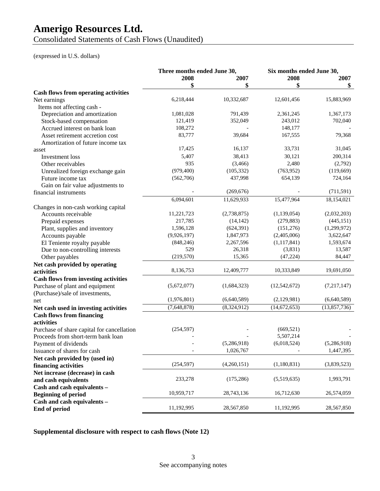Consolidated Statements of Cash Flows (Unaudited)

#### (expressed in U.S. dollars)

|                                             | Three months ended June 30, |             | Six months ended June 30, |              |
|---------------------------------------------|-----------------------------|-------------|---------------------------|--------------|
|                                             | 2008                        | 2007        | 2008                      | 2007         |
|                                             | \$                          | \$          | \$                        | \$           |
| <b>Cash flows from operating activities</b> |                             |             |                           |              |
| Net earnings                                | 6,218,444                   | 10,332,687  | 12,601,456                | 15,883,969   |
| Items not affecting cash -                  |                             |             |                           |              |
| Depreciation and amortization               | 1,081,028                   | 791,439     | 2,361,245                 | 1,367,173    |
| Stock-based compensation                    | 121,419                     | 352,049     | 243,012                   | 702,040      |
| Accrued interest on bank loan               | 108,272                     |             | 148,177                   |              |
| Asset retirement accretion cost             | 83,777                      | 39,684      | 167,555                   | 79,368       |
| Amortization of future income tax           |                             |             |                           |              |
| asset                                       | 17,425                      | 16,137      | 33,731                    | 31,045       |
| Investment loss                             | 5,407                       | 38,413      | 30,121                    | 200,314      |
| Other receivables                           | 935                         | (3,466)     | 2,480                     | (2,792)      |
| Unrealized foreign exchange gain            | (979, 400)                  | (105, 332)  | (763, 952)                | (119, 669)   |
| Future income tax                           | (562,706)                   | 437,998     | 654,139                   | 724,164      |
| Gain on fair value adjustments to           |                             |             |                           |              |
| financial instruments                       |                             | (269, 676)  |                           | (711, 591)   |
|                                             | 6,094,601                   | 11,629,933  | 15,477,964                | 18,154,021   |
| Changes in non-cash working capital         |                             |             |                           |              |
| Accounts receivable                         | 11,221,723                  | (2,738,875) | (1,139,054)               | (2,032,203)  |
| Prepaid expenses                            | 217,785                     | (14, 142)   | (279, 883)                | (445, 151)   |
| Plant, supplies and inventory               | 1,596,128                   | (624, 391)  | (151,276)                 | (1,299,972)  |
| Accounts payable                            | (9,926,197)                 | 1,847,973   | (2,405,006)               | 3,622,647    |
| El Teniente royalty payable                 | (848, 246)                  | 2,267,596   | (1, 117, 841)             | 1,593,674    |
| Due to non-controlling interests            | 529                         | 26,318      | (3,831)                   | 13,587       |
| Other payables                              | (219, 570)                  | 15,365      | (47, 224)                 | 84,447       |
| Net cash provided by operating              |                             |             |                           |              |
| activities                                  | 8,136,753                   | 12,409,777  | 10,333,849                | 19,691,050   |
| <b>Cash flows from investing activities</b> |                             |             |                           |              |
| Purchase of plant and equipment             | (5,672,077)                 | (1,684,323) | (12, 542, 672)            | (7,217,147)  |
| (Purchase)/sale of investments,             |                             |             |                           |              |
| net                                         | (1,976,801)                 | (6,640,589) | (2,129,981)               | (6,640,589)  |
| Net cash used in investing activities       | (7,648,878)                 | (8,324,912) | (14,672,653)              | (13,857,736) |
| <b>Cash flows from financing</b>            |                             |             |                           |              |
| activities                                  |                             |             |                           |              |
| Purchase of share capital for cancellation  | (254, 597)                  |             | (669, 521)                |              |
| Proceeds from short-term bank loan          |                             |             | 5,507,214                 |              |
| Payment of dividends                        |                             | (5,286,918) | (6,018,524)               | (5,286,918)  |
| Issuance of shares for cash                 |                             | 1,026,767   |                           | 1,447,395    |
| Net cash provided by (used in)              |                             |             |                           |              |
| financing activities                        | (254, 597)                  | (4,260,151) | (1,180,831)               | (3,839,523)  |
| Net increase (decrease) in cash             |                             |             |                           |              |
| and cash equivalents                        | 233,278                     | (175, 286)  | (5,519,635)               | 1,993,791    |
| Cash and cash equivalents -                 |                             |             |                           |              |
| <b>Beginning of period</b>                  | 10,959,717                  | 28,743,136  | 16,712,630                | 26,574,059   |
| Cash and cash equivalents -                 |                             |             |                           |              |
| End of period                               | 11,192,995                  | 28,567,850  | 11,192,995                | 28,567,850   |

**Supplemental disclosure with respect to cash flows (Note 12)**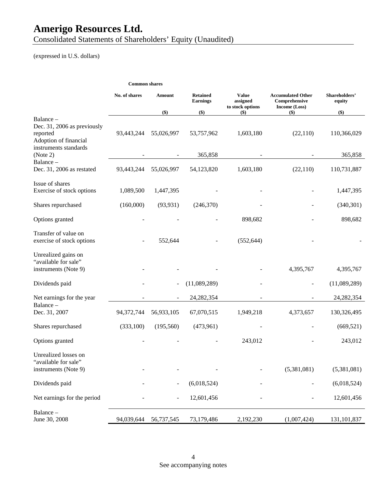Consolidated Statements of Shareholders' Equity (Unaudited)

(expressed in U.S. dollars)

|  | <b>Common shares</b> |  |
|--|----------------------|--|
|--|----------------------|--|

|                                                                                                        | No. of shares | Amount                   | <b>Retained</b><br><b>Earnings</b> | <b>Value</b><br>assigned<br>to stock options | <b>Accumulated Other</b><br>Comprehensive<br>Income (Loss) | Shareholders'<br>equity |
|--------------------------------------------------------------------------------------------------------|---------------|--------------------------|------------------------------------|----------------------------------------------|------------------------------------------------------------|-------------------------|
|                                                                                                        |               | $($ \$ $)$               | \$)                                | $(\$)$                                       | $(\$)$                                                     | \$)                     |
| Balance -<br>Dec. 31, 2006 as previously<br>reported<br>Adoption of financial<br>instruments standards | 93,443,244    | 55,026,997               | 53,757,962                         | 1,603,180                                    | (22, 110)                                                  | 110,366,029             |
| (Note 2)                                                                                               |               |                          | 365,858                            |                                              |                                                            | 365,858                 |
| Balance-<br>Dec. 31, 2006 as restated                                                                  | 93,443,244    | 55,026,997               | 54,123,820                         | 1,603,180                                    | (22,110)                                                   | 110,731,887             |
| Issue of shares<br>Exercise of stock options                                                           | 1,089,500     | 1,447,395                |                                    |                                              |                                                            | 1,447,395               |
| Shares repurchased                                                                                     | (160,000)     | (93, 931)                | (246,370)                          |                                              |                                                            | (340, 301)              |
| Options granted                                                                                        |               |                          |                                    | 898,682                                      |                                                            | 898,682                 |
| Transfer of value on<br>exercise of stock options                                                      |               | 552,644                  |                                    | (552, 644)                                   |                                                            |                         |
| Unrealized gains on<br>"available for sale"<br>instruments (Note 9)                                    |               |                          |                                    |                                              | 4,395,767                                                  | 4,395,767               |
| Dividends paid                                                                                         |               | $\overline{\phantom{a}}$ | (11,089,289)                       |                                              |                                                            | (11,089,289)            |
| Net earnings for the year                                                                              |               | $\blacksquare$           | 24, 282, 354                       |                                              |                                                            | 24, 282, 354            |
| Balance -<br>Dec. 31, 2007                                                                             | 94,372,744    | 56,933,105               | 67,070,515                         | 1,949,218                                    | 4,373,657                                                  | 130,326,495             |
| Shares repurchased                                                                                     | (333,100)     | (195, 560)               | (473,961)                          |                                              |                                                            | (669, 521)              |
| Options granted                                                                                        |               |                          |                                    | 243,012                                      |                                                            | 243,012                 |
| Unrealized losses on<br>"available for sale"<br>instruments (Note 9)                                   |               |                          |                                    |                                              | (5,381,081)                                                | (5,381,081)             |
| Dividends paid                                                                                         |               |                          | (6,018,524)                        |                                              |                                                            | (6,018,524)             |
| Net earnings for the period                                                                            |               |                          | 12,601,456                         |                                              |                                                            | 12,601,456              |
| Balance-<br>June 30, 2008                                                                              | 94,039,644    | 56,737,545               | 73,179,486                         | 2,192,230                                    | (1,007,424)                                                | 131,101,837             |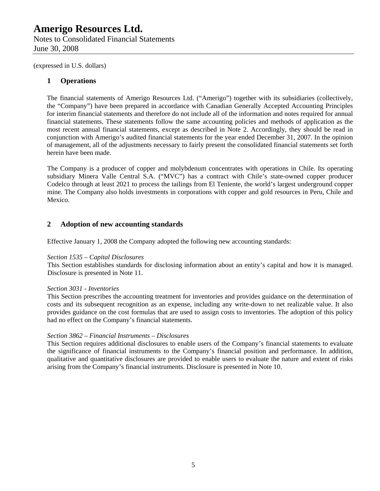Notes to Consolidated Financial Statements June 30, 2008

(expressed in U.S. dollars)

### **1 Operations**

The financial statements of Amerigo Resources Ltd. ("Amerigo") together with its subsidiaries (collectively, the "Company") have been prepared in accordance with Canadian Generally Accepted Accounting Principles for interim financial statements and therefore do not include all of the information and notes required for annual financial statements. These statements follow the same accounting policies and methods of application as the most recent annual financial statements, except as described in Note 2. Accordingly, they should be read in conjunction with Amerigo's audited financial statements for the year ended December 31, 2007. In the opinion of management, all of the adjustments necessary to fairly present the consolidated financial statements set forth herein have been made.

The Company is a producer of copper and molybdenum concentrates with operations in Chile. Its operating subsidiary Minera Valle Central S.A. ("MVC") has a contract with Chile's state-owned copper producer Codelco through at least 2021 to process the tailings from El Teniente, the world's largest underground copper mine. The Company also holds investments in corporations with copper and gold resources in Peru, Chile and Mexico.

### **2 Adoption of new accounting standards**

Effective January 1, 2008 the Company adopted the following new accounting standards:

#### *Section 1535 – Capital Disclosures*

This Section establishes standards for disclosing information about an entity's capital and how it is managed. Disclosure is presented in Note 11.

### *Section 3031 - Inventories*

This Section prescribes the accounting treatment for inventories and provides guidance on the determination of costs and its subsequent recognition as an expense, including any write-down to net realizable value. It also provides guidance on the cost formulas that are used to assign costs to inventories. The adoption of this policy had no effect on the Company's financial statements.

### *Section 3862 – Financial Instruments – Disclosures*

This Section requires additional disclosures to enable users of the Company's financial statements to evaluate the significance of financial instruments to the Company's financial position and performance. In addition, qualitative and quantitative disclosures are provided to enable users to evaluate the nature and extent of risks arising from the Company's financial instruments. Disclosure is presented in Note 10.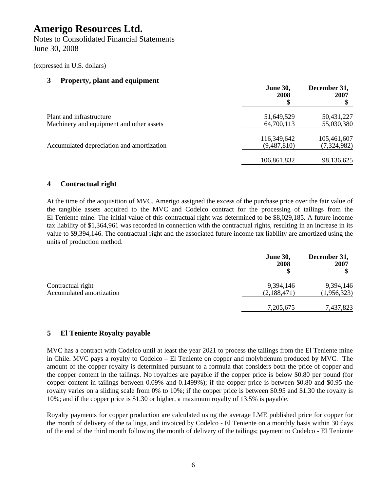Notes to Consolidated Financial Statements June 30, 2008

(expressed in U.S. dollars)

### **3 Property, plant and equipment**

|                                                                      | <b>June 30,</b><br>2008    | December 31,<br>2007       |
|----------------------------------------------------------------------|----------------------------|----------------------------|
| Plant and infrastructure<br>Machinery and equipment and other assets | 51,649,529<br>64,700,113   | 50,431,227<br>55,030,380   |
| Accumulated depreciation and amortization                            | 116,349,642<br>(9,487,810) | 105,461,607<br>(7,324,982) |
|                                                                      | 106,861,832                | 98,136,625                 |

### **4 Contractual right**

At the time of the acquisition of MVC, Amerigo assigned the excess of the purchase price over the fair value of the tangible assets acquired to the MVC and Codelco contract for the processing of tailings from the El Teniente mine. The initial value of this contractual right was determined to be \$8,029,185. A future income tax liability of \$1,364,961 was recorded in connection with the contractual rights, resulting in an increase in its value to \$9,394,146. The contractual right and the associated future income tax liability are amortized using the units of production method.

|                                               | <b>June 30,</b><br>2008  | December 31,<br>2007     |
|-----------------------------------------------|--------------------------|--------------------------|
| Contractual right<br>Accumulated amortization | 9,394,146<br>(2,188,471) | 9,394,146<br>(1,956,323) |
|                                               | 7,205,675                | 7,437,823                |

### **5 El Teniente Royalty payable**

MVC has a contract with Codelco until at least the year 2021 to process the tailings from the El Teniente mine in Chile. MVC pays a royalty to Codelco – El Teniente on copper and molybdenum produced by MVC. The amount of the copper royalty is determined pursuant to a formula that considers both the price of copper and the copper content in the tailings. No royalties are payable if the copper price is below \$0.80 per pound (for copper content in tailings between 0.09% and 0.1499%); if the copper price is between \$0.80 and \$0.95 the royalty varies on a sliding scale from 0% to 10%; if the copper price is between \$0.95 and \$1.30 the royalty is 10%; and if the copper price is \$1.30 or higher, a maximum royalty of 13.5% is payable.

Royalty payments for copper production are calculated using the average LME published price for copper for the month of delivery of the tailings, and invoiced by Codelco - El Teniente on a monthly basis within 30 days of the end of the third month following the month of delivery of the tailings; payment to Codelco - El Teniente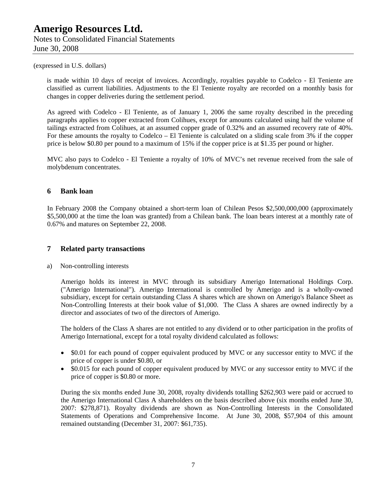Notes to Consolidated Financial Statements June 30, 2008

### (expressed in U.S. dollars)

is made within 10 days of receipt of invoices. Accordingly, royalties payable to Codelco - El Teniente are classified as current liabilities. Adjustments to the El Teniente royalty are recorded on a monthly basis for changes in copper deliveries during the settlement period.

As agreed with Codelco - El Teniente, as of January 1, 2006 the same royalty described in the preceding paragraphs applies to copper extracted from Colihues, except for amounts calculated using half the volume of tailings extracted from Colihues, at an assumed copper grade of 0.32% and an assumed recovery rate of 40%. For these amounts the royalty to Codelco – El Teniente is calculated on a sliding scale from 3% if the copper price is below \$0.80 per pound to a maximum of 15% if the copper price is at \$1.35 per pound or higher.

MVC also pays to Codelco - El Teniente a royalty of 10% of MVC's net revenue received from the sale of molybdenum concentrates.

### **6 Bank loan**

In February 2008 the Company obtained a short-term loan of Chilean Pesos \$2,500,000,000 (approximately \$5,500,000 at the time the loan was granted) from a Chilean bank. The loan bears interest at a monthly rate of 0.67% and matures on September 22, 2008.

### **7 Related party transactions**

a) Non-controlling interests

Amerigo holds its interest in MVC through its subsidiary Amerigo International Holdings Corp. ("Amerigo International"). Amerigo International is controlled by Amerigo and is a wholly-owned subsidiary, except for certain outstanding Class A shares which are shown on Amerigo's Balance Sheet as Non-Controlling Interests at their book value of \$1,000. The Class A shares are owned indirectly by a director and associates of two of the directors of Amerigo.

The holders of the Class A shares are not entitled to any dividend or to other participation in the profits of Amerigo International, except for a total royalty dividend calculated as follows:

- \$0.01 for each pound of copper equivalent produced by MVC or any successor entity to MVC if the price of copper is under \$0.80, or
- \$0.015 for each pound of copper equivalent produced by MVC or any successor entity to MVC if the price of copper is \$0.80 or more.

During the six months ended June 30, 2008, royalty dividends totalling \$262,903 were paid or accrued to the Amerigo International Class A shareholders on the basis described above (six months ended June 30, 2007: \$278,871). Royalty dividends are shown as Non-Controlling Interests in the Consolidated Statements of Operations and Comprehensive Income. At June 30, 2008, \$57,904 of this amount remained outstanding (December 31, 2007: \$61,735).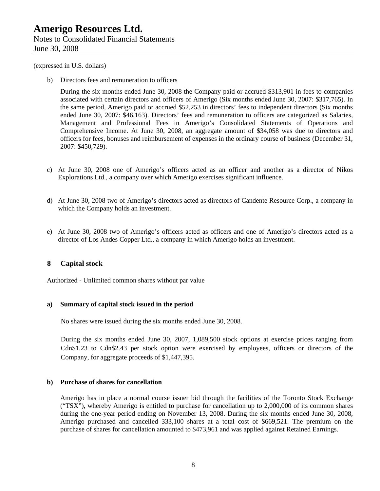Notes to Consolidated Financial Statements June 30, 2008

(expressed in U.S. dollars)

b) Directors fees and remuneration to officers

During the six months ended June 30, 2008 the Company paid or accrued \$313,901 in fees to companies associated with certain directors and officers of Amerigo (Six months ended June 30, 2007: \$317,765). In the same period, Amerigo paid or accrued \$52,253 in directors' fees to independent directors (Six months ended June 30, 2007: \$46,163). Directors' fees and remuneration to officers are categorized as Salaries, Management and Professional Fees in Amerigo's Consolidated Statements of Operations and Comprehensive Income. At June 30, 2008, an aggregate amount of \$34,058 was due to directors and officers for fees, bonuses and reimbursement of expenses in the ordinary course of business (December 31, 2007: \$450,729).

- c) At June 30, 2008 one of Amerigo's officers acted as an officer and another as a director of Nikos Explorations Ltd., a company over which Amerigo exercises significant influence.
- d) At June 30, 2008 two of Amerigo's directors acted as directors of Candente Resource Corp., a company in which the Company holds an investment.
- e) At June 30, 2008 two of Amerigo's officers acted as officers and one of Amerigo's directors acted as a director of Los Andes Copper Ltd., a company in which Amerigo holds an investment.

### **8 Capital stock**

Authorized - Unlimited common shares without par value

### **a) Summary of capital stock issued in the period**

No shares were issued during the six months ended June 30, 2008.

During the six months ended June 30, 2007, 1,089,500 stock options at exercise prices ranging from Cdn\$1.23 to Cdn\$2.43 per stock option were exercised by employees, officers or directors of the Company, for aggregate proceeds of \$1,447,395.

### **b) Purchase of shares for cancellation**

Amerigo has in place a normal course issuer bid through the facilities of the Toronto Stock Exchange ("TSX"), whereby Amerigo is entitled to purchase for cancellation up to 2,000,000 of its common shares during the one-year period ending on November 13, 2008. During the six months ended June 30, 2008, Amerigo purchased and cancelled 333,100 shares at a total cost of \$669,521. The premium on the purchase of shares for cancellation amounted to \$473,961 and was applied against Retained Earnings.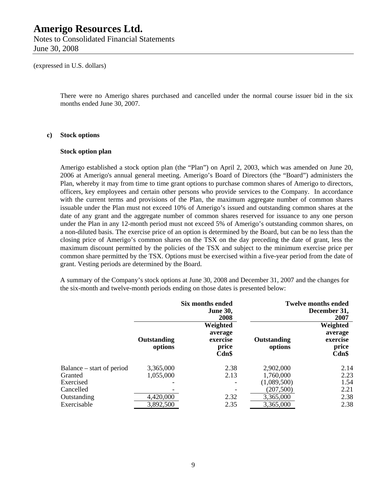Notes to Consolidated Financial Statements June 30, 2008

(expressed in U.S. dollars)

There were no Amerigo shares purchased and cancelled under the normal course issuer bid in the six months ended June 30, 2007.

#### **c) Stock options**

#### **Stock option plan**

Amerigo established a stock option plan (the "Plan") on April 2, 2003, which was amended on June 20, 2006 at Amerigo's annual general meeting. Amerigo's Board of Directors (the "Board") administers the Plan, whereby it may from time to time grant options to purchase common shares of Amerigo to directors, officers, key employees and certain other persons who provide services to the Company. In accordance with the current terms and provisions of the Plan, the maximum aggregate number of common shares issuable under the Plan must not exceed 10% of Amerigo's issued and outstanding common shares at the date of any grant and the aggregate number of common shares reserved for issuance to any one person under the Plan in any 12-month period must not exceed 5% of Amerigo's outstanding common shares, on a non-diluted basis. The exercise price of an option is determined by the Board, but can be no less than the closing price of Amerigo's common shares on the TSX on the day preceding the date of grant, less the maximum discount permitted by the policies of the TSX and subject to the minimum exercise price per common share permitted by the TSX. Options must be exercised within a five-year period from the date of grant. Vesting periods are determined by the Board.

A summary of the Company's stock options at June 30, 2008 and December 31, 2007 and the changes for the six-month and twelve-month periods ending on those dates is presented below:

|                           | <b>Six months ended</b><br><b>June 30,</b><br>2008 |                                                      |                        | <b>Twelve months ended</b><br>December 31,<br>2007   |
|---------------------------|----------------------------------------------------|------------------------------------------------------|------------------------|------------------------------------------------------|
|                           | Outstanding<br>options                             | Weighted<br>average<br>exercise<br>price<br>$Cdn$ \$ | Outstanding<br>options | Weighted<br>average<br>exercise<br>price<br>$Cdn$ \$ |
| Balance – start of period | 3,365,000                                          | 2.38                                                 | 2,902,000              | 2.14                                                 |
| Granted                   | 1,055,000                                          | 2.13                                                 | 1,760,000              | 2.23                                                 |
| Exercised                 |                                                    |                                                      | (1,089,500)            | 1.54                                                 |
| Cancelled                 |                                                    |                                                      | (207, 500)             | 2.21                                                 |
| Outstanding               | 4,420,000                                          | 2.32                                                 | 3,365,000              | 2.38                                                 |
| Exercisable               | 3,892,500                                          | 2.35                                                 | 3,365,000              | 2.38                                                 |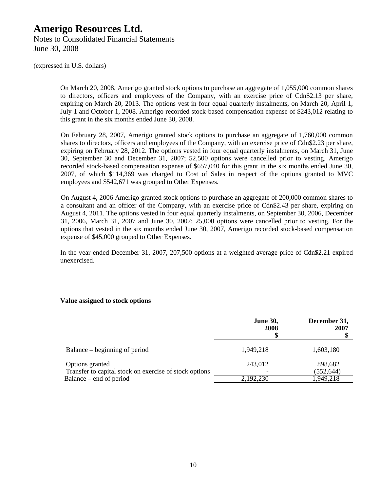Notes to Consolidated Financial Statements June 30, 2008

(expressed in U.S. dollars)

On March 20, 2008, Amerigo granted stock options to purchase an aggregate of 1,055,000 common shares to directors, officers and employees of the Company, with an exercise price of Cdn\$2.13 per share, expiring on March 20, 2013. The options vest in four equal quarterly instalments, on March 20, April 1, July 1 and October 1, 2008. Amerigo recorded stock-based compensation expense of \$243,012 relating to this grant in the six months ended June 30, 2008.

On February 28, 2007, Amerigo granted stock options to purchase an aggregate of 1,760,000 common shares to directors, officers and employees of the Company, with an exercise price of Cdn\$2.23 per share, expiring on February 28, 2012. The options vested in four equal quarterly instalments, on March 31, June 30, September 30 and December 31, 2007; 52,500 options were cancelled prior to vesting. Amerigo recorded stock-based compensation expense of \$657,040 for this grant in the six months ended June 30, 2007, of which \$114,369 was charged to Cost of Sales in respect of the options granted to MVC employees and \$542,671 was grouped to Other Expenses.

On August 4, 2006 Amerigo granted stock options to purchase an aggregate of 200,000 common shares to a consultant and an officer of the Company, with an exercise price of Cdn\$2.43 per share, expiring on August 4, 2011. The options vested in four equal quarterly instalments, on September 30, 2006, December 31, 2006, March 31, 2007 and June 30, 2007; 25,000 options were cancelled prior to vesting. For the options that vested in the six months ended June 30, 2007, Amerigo recorded stock-based compensation expense of \$45,000 grouped to Other Expenses.

In the year ended December 31, 2007, 207,500 options at a weighted average price of Cdn\$2.21 expired unexercised.

### **Value assigned to stock options**

|                                                                           | <b>June 30,</b><br>2008 | December 31,<br>2007  |
|---------------------------------------------------------------------------|-------------------------|-----------------------|
| Balance – beginning of period                                             | 1,949,218               | 1,603,180             |
| Options granted<br>Transfer to capital stock on exercise of stock options | 243,012                 | 898,682<br>(552, 644) |
| Balance – end of period                                                   | 2,192,230               | 1,949,218             |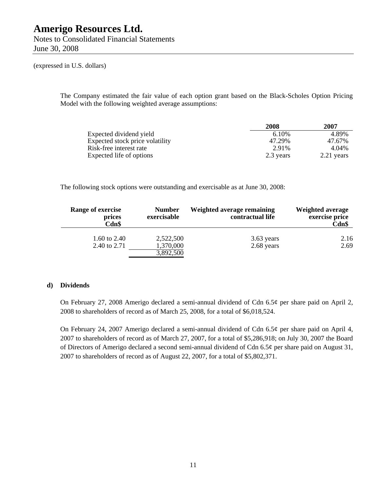Notes to Consolidated Financial Statements June 30, 2008

(expressed in U.S. dollars)

The Company estimated the fair value of each option grant based on the Black-Scholes Option Pricing Model with the following weighted average assumptions:

|                                 | 2008      | 2007       |
|---------------------------------|-----------|------------|
| Expected dividend yield         | 6.10%     | 4.89%      |
| Expected stock price volatility | 47.29%    | 47.67%     |
| Risk-free interest rate         | 2.91%     | 4.04%      |
| Expected life of options        | 2.3 years | 2.21 years |

The following stock options were outstanding and exercisable as at June 30, 2008:

| Range of exercise<br>prices<br>Cdn\$ | <b>Number</b><br>exercisable | Weighted average remaining<br>contractual life | <b>Weighted average</b><br>exercise price<br>Cdn\$ |
|--------------------------------------|------------------------------|------------------------------------------------|----------------------------------------------------|
| 1.60 to 2.40<br>2.40 to 2.71         | 2,522,500<br>1,370,000       | 3.63 years<br>2.68 years                       | 2.16<br>2.69                                       |
|                                      | 3,892,500                    |                                                |                                                    |

### **d) Dividends**

On February 27, 2008 Amerigo declared a semi-annual dividend of Cdn 6.5¢ per share paid on April 2, 2008 to shareholders of record as of March 25, 2008, for a total of \$6,018,524.

On February 24, 2007 Amerigo declared a semi-annual dividend of Cdn 6.5¢ per share paid on April 4, 2007 to shareholders of record as of March 27, 2007, for a total of \$5,286,918; on July 30, 2007 the Board of Directors of Amerigo declared a second semi-annual dividend of Cdn 6.5¢ per share paid on August 31, 2007 to shareholders of record as of August 22, 2007, for a total of \$5,802,371.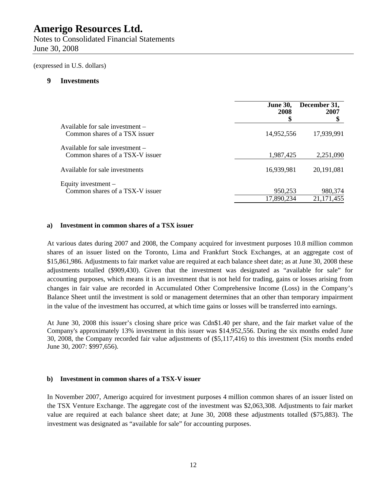Notes to Consolidated Financial Statements June 30, 2008

(expressed in U.S. dollars)

#### **9 Investments**

|                                                                    | <b>June 30,</b><br>2008<br>\$ | December 31,<br>2007    |
|--------------------------------------------------------------------|-------------------------------|-------------------------|
| Available for sale investment –<br>Common shares of a TSX issuer   | 14,952,556                    | 17,939,991              |
| Available for sale investment –<br>Common shares of a TSX-V issuer | 1,987,425                     | 2,251,090               |
| Available for sale investments                                     | 16,939,981                    | 20,191,081              |
| Equity investment –<br>Common shares of a TSX-V issuer             | 950,253<br>17,890,234         | 980,374<br>21, 171, 455 |

### **a) Investment in common shares of a TSX issuer**

At various dates during 2007 and 2008, the Company acquired for investment purposes 10.8 million common shares of an issuer listed on the Toronto, Lima and Frankfurt Stock Exchanges, at an aggregate cost of \$15,861,986. Adjustments to fair market value are required at each balance sheet date; as at June 30, 2008 these adjustments totalled (\$909,430). Given that the investment was designated as "available for sale" for accounting purposes, which means it is an investment that is not held for trading, gains or losses arising from changes in fair value are recorded in Accumulated Other Comprehensive Income (Loss) in the Company's Balance Sheet until the investment is sold or management determines that an other than temporary impairment in the value of the investment has occurred, at which time gains or losses will be transferred into earnings.

At June 30, 2008 this issuer's closing share price was Cdn\$1.40 per share, and the fair market value of the Company's approximately 13% investment in this issuer was \$14,952,556. During the six months ended June 30, 2008, the Company recorded fair value adjustments of (\$5,117,416) to this investment (Six months ended June 30, 2007: \$997,656).

### **b) Investment in common shares of a TSX-V issuer**

In November 2007, Amerigo acquired for investment purposes 4 million common shares of an issuer listed on the TSX Venture Exchange. The aggregate cost of the investment was \$2,063,308. Adjustments to fair market value are required at each balance sheet date; at June 30, 2008 these adjustments totalled (\$75,883). The investment was designated as "available for sale" for accounting purposes.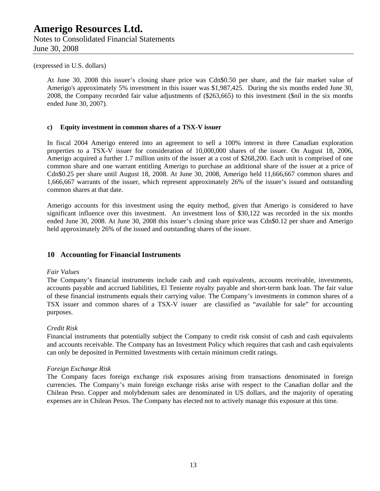Notes to Consolidated Financial Statements June 30, 2008

### (expressed in U.S. dollars)

At June 30, 2008 this issuer's closing share price was Cdn\$0.50 per share, and the fair market value of Amerigo's approximately 5% investment in this issuer was \$1,987,425. During the six months ended June 30, 2008, the Company recorded fair value adjustments of (\$263,665) to this investment (\$nil in the six months ended June 30, 2007).

### **c) Equity investment in common shares of a TSX-V issuer**

In fiscal 2004 Amerigo entered into an agreement to sell a 100% interest in three Canadian exploration properties to a TSX-V issuer for consideration of 10,000,000 shares of the issuer. On August 18, 2006, Amerigo acquired a further 1.7 million units of the issuer at a cost of \$268,200. Each unit is comprised of one common share and one warrant entitling Amerigo to purchase an additional share of the issuer at a price of Cdn\$0.25 per share until August 18, 2008. At June 30, 2008, Amerigo held 11,666,667 common shares and 1,666,667 warrants of the issuer, which represent approximately 26% of the issuer's issued and outstanding common shares at that date.

Amerigo accounts for this investment using the equity method, given that Amerigo is considered to have significant influence over this investment. An investment loss of \$30,122 was recorded in the six months ended June 30, 2008. At June 30, 2008 this issuer's closing share price was Cdn\$0.12 per share and Amerigo held approximately 26% of the issued and outstanding shares of the issuer.

### **10 Accounting for Financial Instruments**

#### *Fair Values*

The Company's financial instruments include cash and cash equivalents, accounts receivable, investments, accounts payable and accrued liabilities, El Teniente royalty payable and short-term bank loan. The fair value of these financial instruments equals their carrying value. The Company's investments in common shares of a TSX issuer and common shares of a TSX-V issuer are classified as "available for sale" for accounting purposes.

### *Credit Risk*

Financial instruments that potentially subject the Company to credit risk consist of cash and cash equivalents and accounts receivable. The Company has an Investment Policy which requires that cash and cash equivalents can only be deposited in Permitted Investments with certain minimum credit ratings.

### *Foreign Exchange Risk*

The Company faces foreign exchange risk exposures arising from transactions denominated in foreign currencies. The Company's main foreign exchange risks arise with respect to the Canadian dollar and the Chilean Peso. Copper and molybdenum sales are denominated in US dollars, and the majority of operating expenses are in Chilean Pesos. The Company has elected not to actively manage this exposure at this time.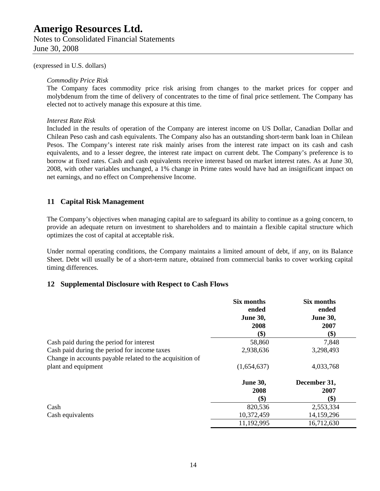Notes to Consolidated Financial Statements June 30, 2008

(expressed in U.S. dollars)

#### *Commodity Price Risk*

The Company faces commodity price risk arising from changes to the market prices for copper and molybdenum from the time of delivery of concentrates to the time of final price settlement. The Company has elected not to actively manage this exposure at this time.

### *Interest Rate Risk*

Included in the results of operation of the Company are interest income on US Dollar, Canadian Dollar and Chilean Peso cash and cash equivalents. The Company also has an outstanding short-term bank loan in Chilean Pesos. The Company's interest rate risk mainly arises from the interest rate impact on its cash and cash equivalents, and to a lesser degree, the interest rate impact on current debt. The Company's preference is to borrow at fixed rates. Cash and cash equivalents receive interest based on market interest rates. As at June 30, 2008, with other variables unchanged, a 1% change in Prime rates would have had an insignificant impact on net earnings, and no effect on Comprehensive Income.

### **11 Capital Risk Management**

The Company's objectives when managing capital are to safeguard its ability to continue as a going concern, to provide an adequate return on investment to shareholders and to maintain a flexible capital structure which optimizes the cost of capital at acceptable risk.

Under normal operating conditions, the Company maintains a limited amount of debt, if any, on its Balance Sheet. Debt will usually be of a short-term nature, obtained from commercial banks to cover working capital timing differences.

### **12 Supplemental Disclosure with Respect to Cash Flows**

|                                                          | Six months      | Six months      |
|----------------------------------------------------------|-----------------|-----------------|
|                                                          | ended           | ended           |
|                                                          | <b>June 30,</b> | <b>June 30,</b> |
|                                                          | 2008            | 2007            |
|                                                          | \$)             | \$)             |
| Cash paid during the period for interest                 | 58,860          | 7,848           |
| Cash paid during the period for income taxes             | 2,938,636       | 3,298,493       |
| Change in accounts payable related to the acquisition of |                 |                 |
| plant and equipment                                      | (1,654,637)     | 4,033,768       |
|                                                          | <b>June 30,</b> | December 31,    |
|                                                          | 2008            | 2007            |
|                                                          | \$)             | \$)             |
| Cash                                                     | 820,536         | 2,553,334       |
| Cash equivalents                                         | 10,372,459      | 14,159,296      |
|                                                          | 11,192,995      | 16,712,630      |